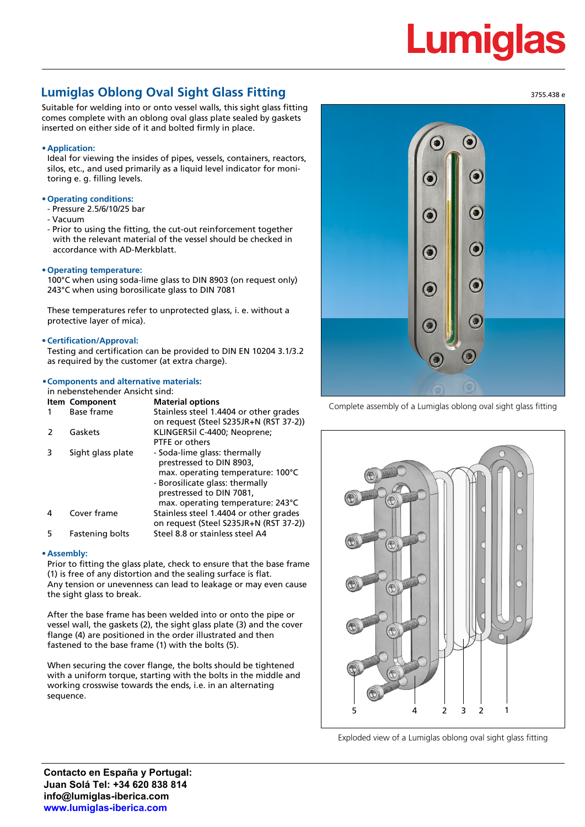# Lumiqla

# **Lumiglas Oblong Oval Sight Glass Fitting**

Suitable for welding into or onto vessel walls, this sight glass fitting comes complete with an oblong oval glass plate sealed by gaskets inserted on either side of it and bolted firmly in place.

## **• Application:**

Ideal for viewing the insides of pipes, vessels, containers, reactors, silos, etc., and used primarily as a liquid level indicator for monitoring e. g. filling levels.

## **• Operating conditions:**

- Pressure 2.5/6/10/25 bar
- Vacuum
- Prior to using the fitting, the cut-out reinforcement together with the relevant material of the vessel should be checked in accordance with AD-Merkblatt.

#### **• Operating temperature:**

100°C when using soda-lime glass to DIN 8903 (on request only) 243°C when using borosilicate glass to DIN 7081

These temperatures refer to unprotected glass, i. e. without a protective layer of mica).

#### **• Certification/Approval:**

Testing and certification can be provided to DIN EN 10204 3.1/3.2 as required by the customer (at extra charge).

# **•Components and alternative materials:**

#### in nebenstehender Ansicht sind:

|   | <b>Item Component</b><br>Base frame | <b>Material options</b><br>Stainless steel 1.4404 or other grades<br>on request (Steel S235JR+N (RST 37-2))                                                                                       |
|---|-------------------------------------|---------------------------------------------------------------------------------------------------------------------------------------------------------------------------------------------------|
|   | Gaskets                             | KLINGERSil C-4400; Neoprene;<br>PTFE or others                                                                                                                                                    |
| 3 | Sight glass plate                   | - Soda-lime glass: thermally<br>prestressed to DIN 8903,<br>max. operating temperature: 100°C<br>- Borosilicate glass: thermally<br>prestressed to DIN 7081,<br>max. operating temperature: 243°C |
| 4 | Cover frame                         | Stainless steel 1.4404 or other grades<br>on request (Steel S235JR+N (RST 37-2))                                                                                                                  |
| 5 | <b>Fastening bolts</b>              | Steel 8.8 or stainless steel A4                                                                                                                                                                   |

#### **• Assembly:**

Prior to fitting the glass plate, check to ensure that the base frame (1) is free of any distortion and the sealing surface is flat. Any tension or unevenness can lead to leakage or may even cause the sight glass to break.

After the base frame has been welded into or onto the pipe or vessel wall, the gaskets (2), the sight glass plate (3) and the cover flange (4) are positioned in the order illustrated and then fastened to the base frame (1) with the bolts (5).

When securing the cover flange, the bolts should be tightened with a uniform torque, starting with the bolts in the middle and working crosswise towards the ends, i.e. in an alternating sequence.



Complete assembly of a Lumiglas oblong oval sight glass fitting



Exploded view of a Lumiglas oblong oval sight glass fitting

3755.438 e